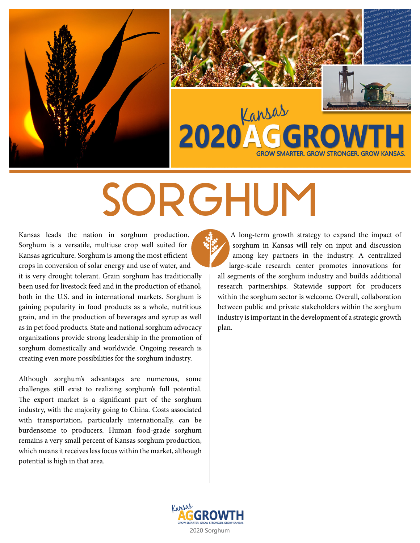

# SORGHUM

Kansas leads the nation in sorghum production. Sorghum is a versatile, multiuse crop well suited for Kansas agriculture. Sorghum is among the most efficient crops in conversion of solar energy and use of water, and it is very drought tolerant. Grain sorghum has traditionally been used for livestock feed and in the production of ethanol, both in the U.S. and in international markets. Sorghum is gaining popularity in food products as a whole, nutritious grain, and in the production of beverages and syrup as well as in pet food products. State and national sorghum advocacy organizations provide strong leadership in the promotion of sorghum domestically and worldwide. Ongoing research is creating even more possibilities for the sorghum industry.

Although sorghum's advantages are numerous, some challenges still exist to realizing sorghum's full potential. The export market is a significant part of the sorghum industry, with the majority going to China. Costs associated with transportation, particularly internationally, can be burdensome to producers. Human food-grade sorghum remains a very small percent of Kansas sorghum production, which means it receives less focus within the market, although potential is high in that area.

A long-term growth strategy to expand the impact of sorghum in Kansas will rely on input and discussion among key partners in the industry. A centralized large-scale research center promotes innovations for all segments of the sorghum industry and builds additional research partnerships. Statewide support for producers within the sorghum sector is welcome. Overall, collaboration between public and private stakeholders within the sorghum industry is important in the development of a strategic growth plan.

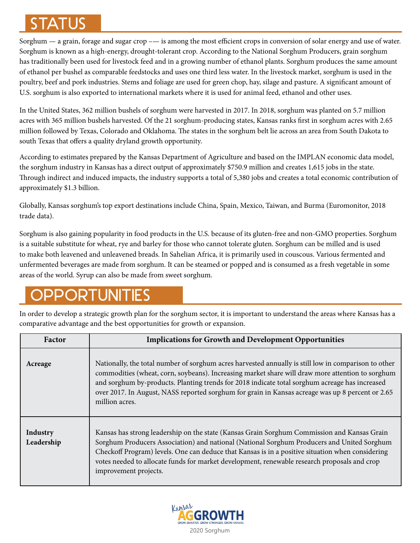# STATUS

Sorghum — a grain, forage and sugar crop –— is among the most efficient crops in conversion of solar energy and use of water. Sorghum is known as a high-energy, drought-tolerant crop. According to the National Sorghum Producers, grain sorghum has traditionally been used for livestock feed and in a growing number of ethanol plants. Sorghum produces the same amount of ethanol per bushel as comparable feedstocks and uses one third less water. In the livestock market, sorghum is used in the poultry, beef and pork industries. Stems and foliage are used for green chop, hay, silage and pasture. A significant amount of U.S. sorghum is also exported to international markets where it is used for animal feed, ethanol and other uses.

In the United States, 362 million bushels of sorghum were harvested in 2017. In 2018, sorghum was planted on 5.7 million acres with 365 million bushels harvested. Of the 21 sorghum-producing states, Kansas ranks first in sorghum acres with 2.65 million followed by Texas, Colorado and Oklahoma. The states in the sorghum belt lie across an area from South Dakota to south Texas that offers a quality dryland growth opportunity.

According to estimates prepared by the Kansas Department of Agriculture and based on the IMPLAN economic data model, the sorghum industry in Kansas has a direct output of approximately \$750.9 million and creates 1,615 jobs in the state. Through indirect and induced impacts, the industry supports a total of 5,380 jobs and creates a total economic contribution of approximately \$1.3 billion.

Globally, Kansas sorghum's top export destinations include China, Spain, Mexico, Taiwan, and Burma (Euromonitor, 2018 trade data).

Sorghum is also gaining popularity in food products in the U.S. because of its gluten-free and non-GMO properties. Sorghum is a suitable substitute for wheat, rye and barley for those who cannot tolerate gluten. Sorghum can be milled and is used to make both leavened and unleavened breads. In Sahelian Africa, it is primarily used in couscous. Various fermented and unfermented beverages are made from sorghum. It can be steamed or popped and is consumed as a fresh vegetable in some areas of the world. Syrup can also be made from sweet sorghum.

# **OPPORTUNITIES**

In order to develop a strategic growth plan for the sorghum sector, it is important to understand the areas where Kansas has a comparative advantage and the best opportunities for growth or expansion.

| Factor                 | <b>Implications for Growth and Development Opportunities</b>                                                                                                                                                                                                                                                                                                                                                                     |
|------------------------|----------------------------------------------------------------------------------------------------------------------------------------------------------------------------------------------------------------------------------------------------------------------------------------------------------------------------------------------------------------------------------------------------------------------------------|
| Acreage                | Nationally, the total number of sorghum acres harvested annually is still low in comparison to other<br>commodities (wheat, corn, soybeans). Increasing market share will draw more attention to sorghum<br>and sorghum by-products. Planting trends for 2018 indicate total sorghum acreage has increased<br>over 2017. In August, NASS reported sorghum for grain in Kansas acreage was up 8 percent or 2.65<br>million acres. |
| Industry<br>Leadership | Kansas has strong leadership on the state (Kansas Grain Sorghum Commission and Kansas Grain<br>Sorghum Producers Association) and national (National Sorghum Producers and United Sorghum<br>Checkoff Program) levels. One can deduce that Kansas is in a positive situation when considering<br>votes needed to allocate funds for market development, renewable research proposals and crop<br>improvement projects.           |

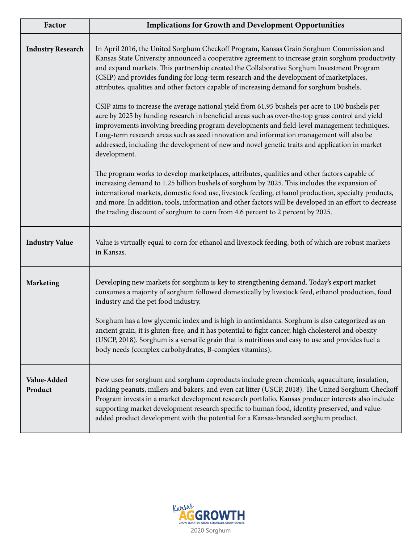| Factor                   | <b>Implications for Growth and Development Opportunities</b>                                                                                                                                                                                                                                                                                                                                                                                                                                                                                                                                                   |
|--------------------------|----------------------------------------------------------------------------------------------------------------------------------------------------------------------------------------------------------------------------------------------------------------------------------------------------------------------------------------------------------------------------------------------------------------------------------------------------------------------------------------------------------------------------------------------------------------------------------------------------------------|
| <b>Industry Research</b> | In April 2016, the United Sorghum Checkoff Program, Kansas Grain Sorghum Commission and<br>Kansas State University announced a cooperative agreement to increase grain sorghum productivity<br>and expand markets. This partnership created the Collaborative Sorghum Investment Program<br>(CSIP) and provides funding for long-term research and the development of marketplaces,<br>attributes, qualities and other factors capable of increasing demand for sorghum bushels.                                                                                                                               |
|                          | CSIP aims to increase the average national yield from 61.95 bushels per acre to 100 bushels per<br>acre by 2025 by funding research in beneficial areas such as over-the-top grass control and yield<br>improvements involving breeding program developments and field-level management techniques.<br>Long-term research areas such as seed innovation and information management will also be<br>addressed, including the development of new and novel genetic traits and application in market<br>development.                                                                                              |
|                          | The program works to develop marketplaces, attributes, qualities and other factors capable of<br>increasing demand to 1.25 billion bushels of sorghum by 2025. This includes the expansion of<br>international markets, domestic food use, livestock feeding, ethanol production, specialty products,<br>and more. In addition, tools, information and other factors will be developed in an effort to decrease<br>the trading discount of sorghum to corn from 4.6 percent to 2 percent by 2025.                                                                                                              |
| <b>Industry Value</b>    | Value is virtually equal to corn for ethanol and livestock feeding, both of which are robust markets<br>in Kansas.                                                                                                                                                                                                                                                                                                                                                                                                                                                                                             |
| <b>Marketing</b>         | Developing new markets for sorghum is key to strengthening demand. Today's export market<br>consumes a majority of sorghum followed domestically by livestock feed, ethanol production, food<br>industry and the pet food industry.<br>Sorghum has a low glycemic index and is high in antioxidants. Sorghum is also categorized as an<br>ancient grain, it is gluten-free, and it has potential to fight cancer, high cholesterol and obesity<br>(USCP, 2018). Sorghum is a versatile grain that is nutritious and easy to use and provides fuel a<br>body needs (complex carbohydrates, B-complex vitamins). |
| Value-Added<br>Product   | New uses for sorghum and sorghum coproducts include green chemicals, aquaculture, insulation,<br>packing peanuts, millers and bakers, and even cat litter (USCP, 2018). The United Sorghum Checkoff<br>Program invests in a market development research portfolio. Kansas producer interests also include<br>supporting market development research specific to human food, identity preserved, and value-<br>added product development with the potential for a Kansas-branded sorghum product.                                                                                                               |

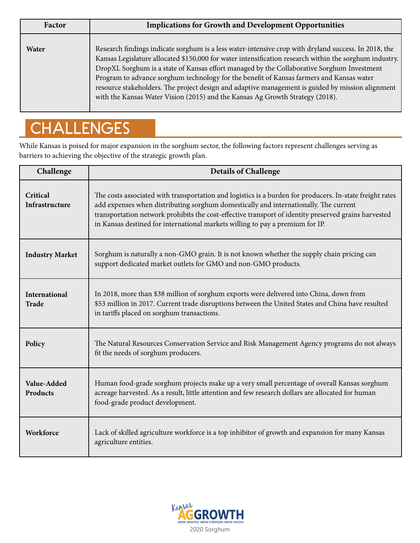| <b>Factor</b> | <b>Implications for Growth and Development Opportunities</b>                                                                                                                                                                                                                                                                                                                                                                                                                                                                                                                                  |
|---------------|-----------------------------------------------------------------------------------------------------------------------------------------------------------------------------------------------------------------------------------------------------------------------------------------------------------------------------------------------------------------------------------------------------------------------------------------------------------------------------------------------------------------------------------------------------------------------------------------------|
| Water         | Research findings indicate sorghum is a less water-intensive crop with dryland success. In 2018, the<br>Kansas Legislature allocated \$150,000 for water intensification research within the sorghum industry.<br>DropXL Sorghum is a state of Kansas effort managed by the Collaborative Sorghum Investment<br>Program to advance sorghum technology for the benefit of Kansas farmers and Kansas water<br>resource stakeholders. The project design and adaptive management is guided by mission alignment<br>with the Kansas Water Vision (2015) and the Kansas Ag Growth Strategy (2018). |

# **CHALLENGES**

While Kansas is poised for major expansion in the sorghum sector, the following factors represent challenges serving as barriers to achieving the objective of the strategic growth plan.

| Challenge                     | <b>Details of Challenge</b>                                                                                                                                                                                                                                                                                                                                                               |
|-------------------------------|-------------------------------------------------------------------------------------------------------------------------------------------------------------------------------------------------------------------------------------------------------------------------------------------------------------------------------------------------------------------------------------------|
| Critical<br>Infrastructure    | The costs associated with transportation and logistics is a burden for producers. In-state freight rates<br>add expenses when distributing sorghum domestically and internationally. The current<br>transportation network prohibits the cost-effective transport of identity preserved grains harvested<br>in Kansas destined for international markets willing to pay a premium for IP. |
| <b>Industry Market</b>        | Sorghum is naturally a non-GMO grain. It is not known whether the supply chain pricing can<br>support dedicated market outlets for GMO and non-GMO products.                                                                                                                                                                                                                              |
| International<br><b>Trade</b> | In 2018, more than \$38 million of sorghum exports were delivered into China, down from<br>\$53 million in 2017. Current trade disruptions between the United States and China have resulted<br>in tariffs placed on sorghum transactions.                                                                                                                                                |
| Policy                        | The Natural Resources Conservation Service and Risk Management Agency programs do not always<br>fit the needs of sorghum producers.                                                                                                                                                                                                                                                       |
| Value-Added<br>Products       | Human food-grade sorghum projects make up a very small percentage of overall Kansas sorghum<br>acreage harvested. As a result, little attention and few research dollars are allocated for human<br>food-grade product development.                                                                                                                                                       |
| Workforce                     | Lack of skilled agriculture workforce is a top inhibitor of growth and expansion for many Kansas<br>agriculture entities.                                                                                                                                                                                                                                                                 |

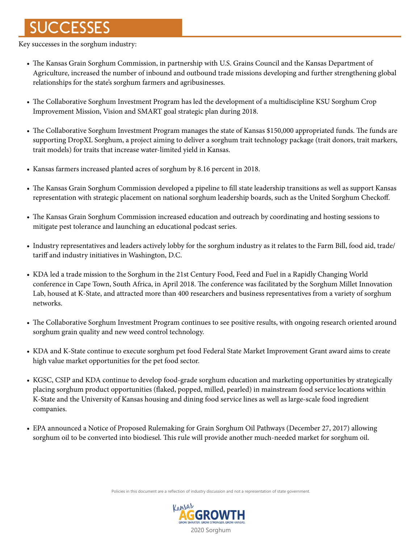## **CCESSES**

Key successes in the sorghum industry:

- The Kansas Grain Sorghum Commission, in partnership with U.S. Grains Council and the Kansas Department of Agriculture, increased the number of inbound and outbound trade missions developing and further strengthening global relationships for the state's sorghum farmers and agribusinesses.
- The Collaborative Sorghum Investment Program has led the development of a multidiscipline KSU Sorghum Crop Improvement Mission, Vision and SMART goal strategic plan during 2018.
- The Collaborative Sorghum Investment Program manages the state of Kansas \$150,000 appropriated funds. The funds are supporting DropXL Sorghum, a project aiming to deliver a sorghum trait technology package (trait donors, trait markers, trait models) for traits that increase water-limited yield in Kansas.
- Kansas farmers increased planted acres of sorghum by 8.16 percent in 2018.
- The Kansas Grain Sorghum Commission developed a pipeline to fill state leadership transitions as well as support Kansas representation with strategic placement on national sorghum leadership boards, such as the United Sorghum Checkoff.
- The Kansas Grain Sorghum Commission increased education and outreach by coordinating and hosting sessions to mitigate pest tolerance and launching an educational podcast series.
- Industry representatives and leaders actively lobby for the sorghum industry as it relates to the Farm Bill, food aid, trade/ tariff and industry initiatives in Washington, D.C.
- KDA led a trade mission to the Sorghum in the 21st Century Food, Feed and Fuel in a Rapidly Changing World conference in Cape Town, South Africa, in April 2018. The conference was facilitated by the Sorghum Millet Innovation Lab, housed at K-State, and attracted more than 400 researchers and business representatives from a variety of sorghum networks.
- The Collaborative Sorghum Investment Program continues to see positive results, with ongoing research oriented around sorghum grain quality and new weed control technology.
- KDA and K-State continue to execute sorghum pet food Federal State Market Improvement Grant award aims to create high value market opportunities for the pet food sector.
- KGSC, CSIP and KDA continue to develop food-grade sorghum education and marketing opportunities by strategically placing sorghum product opportunities (flaked, popped, milled, pearled) in mainstream food service locations within K-State and the University of Kansas housing and dining food service lines as well as large-scale food ingredient companies.
- EPA announced a Notice of Proposed Rulemaking for Grain Sorghum Oil Pathways (December 27, 2017) allowing sorghum oil to be converted into biodiesel. This rule will provide another much-needed market for sorghum oil.

Policies in this document are a reflection of industry discussion and not a representation of state government

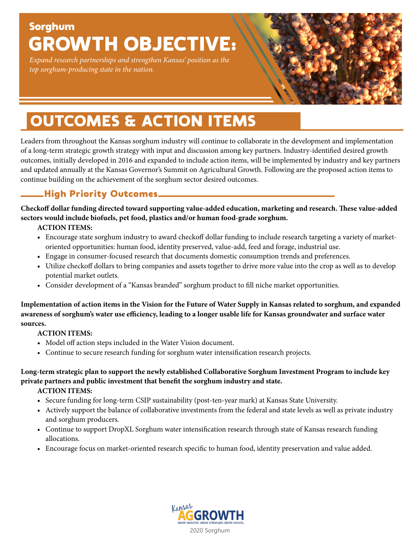## Sorghum GROWTH OBJECTIVE:

*Expand research partnerships and strengthen Kansas' position as the top sorghum-producing state in the nation.*



# OUTCOMES & ACTION ITEMS

Leaders from throughout the Kansas sorghum industry will continue to collaborate in the development and implementation of a long-term strategic growth strategy with input and discussion among key partners. Industry-identified desired growth outcomes, initially developed in 2016 and expanded to include action items, will be implemented by industry and key partners and updated annually at the Kansas Governor's Summit on Agricultural Growth. Following are the proposed action items to continue building on the achievement of the sorghum sector desired outcomes.

## High Priority Outcomes

**Checkoff dollar funding directed toward supporting value-added education, marketing and research. These value-added sectors would include biofuels, pet food, plastics and/or human food-grade sorghum.**

#### **ACTION ITEMS:**

- **•** Encourage state sorghum industry to award checkoff dollar funding to include research targeting a variety of market oriented opportunities: human food, identity preserved, value-add, feed and forage, industrial use.
- Engage in consumer-focused research that documents domestic consumption trends and preferences.
- Utilize checkoff dollars to bring companies and assets together to drive more value into the crop as well as to develop potential market outlets.
- Consider development of a "Kansas branded" sorghum product to fill niche market opportunities.

**Implementation of action items in the Vision for the Future of Water Supply in Kansas related to sorghum, and expanded awareness of sorghum's water use efficiency, leading to a longer usable life for Kansas groundwater and surface water sources.**

#### **ACTION ITEMS:**

- **•** Model off action steps included in the Water Vision document.
- Continue to secure research funding for sorghum water intensification research projects.

**Long-term strategic plan to support the newly established Collaborative Sorghum Investment Program to include key private partners and public investment that benefit the sorghum industry and state.**

#### **ACTION ITEMS:**

- **•** Secure funding for long-term CSIP sustainability (post-ten-year mark) at Kansas State University.
- Actively support the balance of collaborative investments from the federal and state levels as well as private industry and sorghum producers.
- Continue to support DropXL Sorghum water intensification research through state of Kansas research funding allocations.
- Encourage focus on market-oriented research specific to human food, identity preservation and value added.